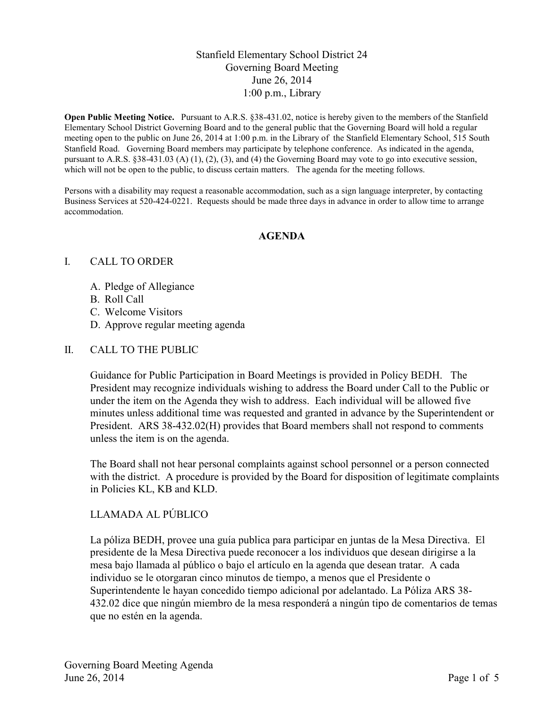## Stanfield Elementary School District 24 Governing Board Meeting June 26, 2014 1:00 p.m., Library

**Open Public Meeting Notice.** Pursuant to A.R.S. §38-431.02, notice is hereby given to the members of the Stanfield Elementary School District Governing Board and to the general public that the Governing Board will hold a regular meeting open to the public on June 26, 2014 at 1:00 p.m. in the Library of the Stanfield Elementary School, 515 South Stanfield Road. Governing Board members may participate by telephone conference. As indicated in the agenda, pursuant to A.R.S. §38-431.03 (A) (1), (2), (3), and (4) the Governing Board may vote to go into executive session, which will not be open to the public, to discuss certain matters. The agenda for the meeting follows.

Persons with a disability may request a reasonable accommodation, such as a sign language interpreter, by contacting Business Services at 520-424-0221. Requests should be made three days in advance in order to allow time to arrange accommodation.

#### **AGENDA**

#### I. CALL TO ORDER

- A. Pledge of Allegiance
- B. Roll Call
- C. Welcome Visitors
- D. Approve regular meeting agenda

### II. CALL TO THE PUBLIC

Guidance for Public Participation in Board Meetings is provided in Policy BEDH. The President may recognize individuals wishing to address the Board under Call to the Public or under the item on the Agenda they wish to address. Each individual will be allowed five minutes unless additional time was requested and granted in advance by the Superintendent or President. ARS 38-432.02(H) provides that Board members shall not respond to comments unless the item is on the agenda.

The Board shall not hear personal complaints against school personnel or a person connected with the district. A procedure is provided by the Board for disposition of legitimate complaints in Policies KL, KB and KLD.

## LLAMADA AL PÚBLICO

La póliza BEDH, provee una guía publica para participar en juntas de la Mesa Directiva. El presidente de la Mesa Directiva puede reconocer a los individuos que desean dirigirse a la mesa bajo llamada al público o bajo el artículo en la agenda que desean tratar. A cada individuo se le otorgaran cinco minutos de tiempo, a menos que el Presidente o Superintendente le hayan concedido tiempo adicional por adelantado. La Póliza ARS 38- 432.02 dice que ningún miembro de la mesa responderá a ningún tipo de comentarios de temas que no estén en la agenda.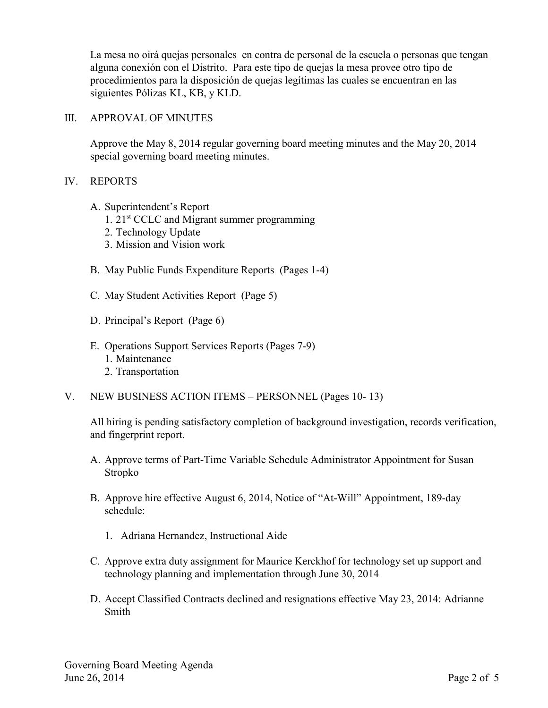La mesa no oirá quejas personales en contra de personal de la escuela o personas que tengan alguna conexión con el Distrito. Para este tipo de quejas la mesa provee otro tipo de procedimientos para la disposición de quejas legítimas las cuales se encuentran en las siguientes Pólizas KL, KB, y KLD.

#### III. APPROVAL OF MINUTES

Approve the May 8, 2014 regular governing board meeting minutes and the May 20, 2014 special governing board meeting minutes.

#### IV. REPORTS

- A. Superintendent's Report
	- 1.  $21<sup>st</sup>$  CCLC and Migrant summer programming
	- 2. Technology Update
	- 3. Mission and Vision work
- B. May Public Funds Expenditure Reports (Pages 1-4)
- C. May Student Activities Report (Page 5)
- D. Principal's Report (Page 6)
- E. Operations Support Services Reports (Pages 7-9)
	- 1. Maintenance
	- 2. Transportation
- V. NEW BUSINESS ACTION ITEMS PERSONNEL (Pages 10- 13)

All hiring is pending satisfactory completion of background investigation, records verification, and fingerprint report.

- A. Approve terms of Part-Time Variable Schedule Administrator Appointment for Susan Stropko
- B. Approve hire effective August 6, 2014, Notice of "At-Will" Appointment, 189-day schedule:
	- 1. Adriana Hernandez, Instructional Aide
- C. Approve extra duty assignment for Maurice Kerckhof for technology set up support and technology planning and implementation through June 30, 2014
- D. Accept Classified Contracts declined and resignations effective May 23, 2014: Adrianne Smith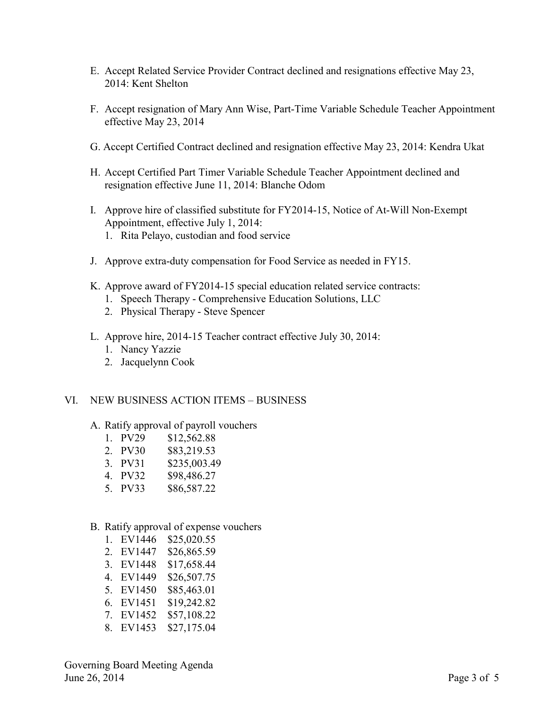- E. Accept Related Service Provider Contract declined and resignations effective May 23, 2014: Kent Shelton
- F. Accept resignation of Mary Ann Wise, Part-Time Variable Schedule Teacher Appointment effective May 23, 2014
- G. Accept Certified Contract declined and resignation effective May 23, 2014: Kendra Ukat
- H. Accept Certified Part Timer Variable Schedule Teacher Appointment declined and resignation effective June 11, 2014: Blanche Odom
- I. Approve hire of classified substitute for FY2014-15, Notice of At-Will Non-Exempt Appointment, effective July 1, 2014: 1. Rita Pelayo, custodian and food service
- J. Approve extra-duty compensation for Food Service as needed in FY15.
- K. Approve award of FY2014-15 special education related service contracts:
	- 1. Speech Therapy Comprehensive Education Solutions, LLC
	- 2. Physical Therapy Steve Spencer
- L. Approve hire, 2014-15 Teacher contract effective July 30, 2014:
	- 1. Nancy Yazzie
	- 2. Jacquelynn Cook

#### VI. NEW BUSINESS ACTION ITEMS – BUSINESS

- A. Ratify approval of payroll vouchers
	- 1. PV29 \$12,562.88
	- 2. PV30 \$83,219.53<br>3. PV31 \$235.003.49
	- \$235,003.49
	- 4. PV32 \$98,486.27
	- 5. PV33 \$86,587.22
- B. Ratify approval of expense vouchers
	- 1. EV1446 \$25,020.55 2. EV1447 \$26,865.59 3. EV1448 \$17,658.44
	- 4. EV1449 \$26,507.75
	- 5. EV1450 \$85,463.01
	-
	- 6. EV1451 \$19,242.82
	- 7. EV1452 \$57,108.22
	- 8. EV1453 \$27,175.04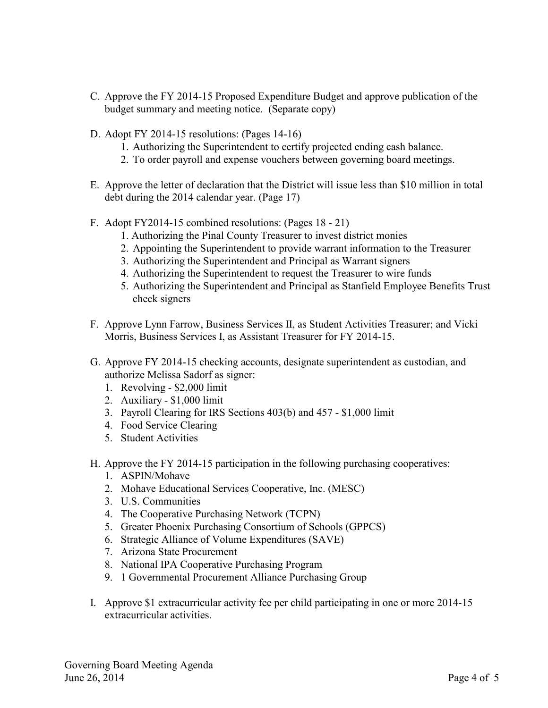- C. Approve the FY 2014-15 Proposed Expenditure Budget and approve publication of the budget summary and meeting notice. (Separate copy)
- D. Adopt FY 2014-15 resolutions: (Pages 14-16)
	- 1. Authorizing the Superintendent to certify projected ending cash balance.
	- 2. To order payroll and expense vouchers between governing board meetings.
- E. Approve the letter of declaration that the District will issue less than \$10 million in total debt during the 2014 calendar year. (Page 17)
- F. Adopt FY2014-15 combined resolutions: (Pages 18 21)
	- 1. Authorizing the Pinal County Treasurer to invest district monies
	- 2. Appointing the Superintendent to provide warrant information to the Treasurer
	- 3. Authorizing the Superintendent and Principal as Warrant signers
	- 4. Authorizing the Superintendent to request the Treasurer to wire funds
	- 5. Authorizing the Superintendent and Principal as Stanfield Employee Benefits Trust check signers
- F. Approve Lynn Farrow, Business Services II, as Student Activities Treasurer; and Vicki Morris, Business Services I, as Assistant Treasurer for FY 2014-15.
- G. Approve FY 2014-15 checking accounts, designate superintendent as custodian, and authorize Melissa Sadorf as signer:
	- 1. Revolving \$2,000 limit
	- 2. Auxiliary \$1,000 limit
	- 3. Payroll Clearing for IRS Sections 403(b) and 457 \$1,000 limit
	- 4. Food Service Clearing
	- 5. Student Activities
- H. Approve the FY 2014-15 participation in the following purchasing cooperatives:
	- 1. ASPIN/Mohave
	- 2. Mohave Educational Services Cooperative, Inc. (MESC)
	- 3. U.S. Communities
	- 4. The Cooperative Purchasing Network (TCPN)
	- 5. Greater Phoenix Purchasing Consortium of Schools (GPPCS)
	- 6. Strategic Alliance of Volume Expenditures (SAVE)
	- 7. Arizona State Procurement
	- 8. National IPA Cooperative Purchasing Program
	- 9. 1 Governmental Procurement Alliance Purchasing Group
- I. Approve \$1 extracurricular activity fee per child participating in one or more 2014-15 extracurricular activities.